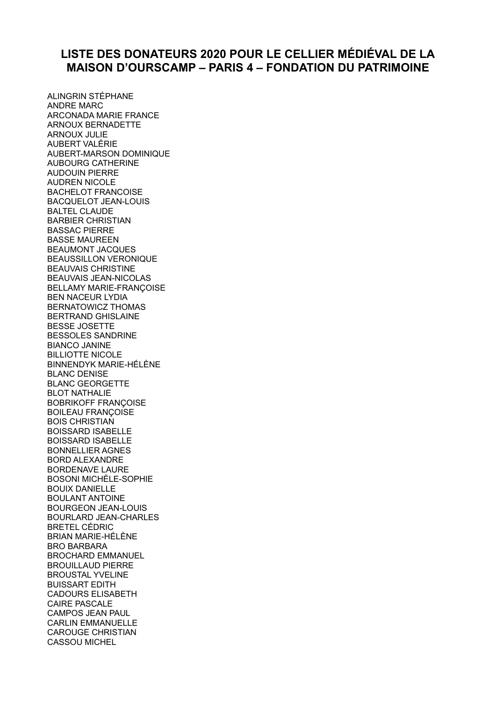## **LISTE DES DONATEURS 2020 POUR LE CELLIER MÉDIÉVAL DE LA MAISON D'OURSCAMP – PARIS 4 – FONDATION DU PATRIMOINE**

ALINGRIN STÉPHANE ANDRE MARC ARCONADA MARIE FRANCE ARNOUX BERNADETTE ARNOUX JULIE AUBERT VALÉRIE AUBERT-MARSON DOMINIQUE AUBOURG CATHERINE AUDOUIN PIERRE AUDREN NICOLE BACHELOT FRANCOISE BACQUELOT JEAN-LOUIS BALTEL CLAUDE BARBIER CHRISTIAN BASSAC PIERRE BASSE MAUREEN BEAUMONT JACQUES BEAUSSILLON VERONIQUE BEAUVAIS CHRISTINE BEAUVAIS JEAN-NICOLAS BELLAMY MARIE-FRANÇOISE BEN NACEUR LYDIA BERNATOWICZ THOMAS BERTRAND GHISLAINE BESSE JOSETTE BESSOLES SANDRINE BIANCO JANINE BILLIOTTE NICOLE BINNENDYK MARIE-HÉLÈNE BLANC DENISE BLANC GEORGETTE BLOT NATHALIE BOBRIKOFF FRANÇOISE BOILEAU FRANÇOISE BOIS CHRISTIAN BOISSARD ISABELLE BOISSARD ISABELLE BONNELLIER AGNES BORD ALEXANDRE BORDENAVE LAURE BOSONI MICHÈLE-SOPHIE BOUIX DANIELLE BOULANT ANTOINE BOURGEON JEAN-LOUIS BOURLARD JEAN-CHARLES BRETEL CÉDRIC BRIAN MARIE-HÉLÈNE BRO BARBARA BROCHARD EMMANUEL BROUILLAUD PIERRE BROUSTAL YVELINE BUISSART EDITH CADOURS ELISABETH CAIRE PASCALE CAMPOS JEAN PAUL CARLIN EMMANUELLE CAROUGE CHRISTIAN CASSOU MICHEL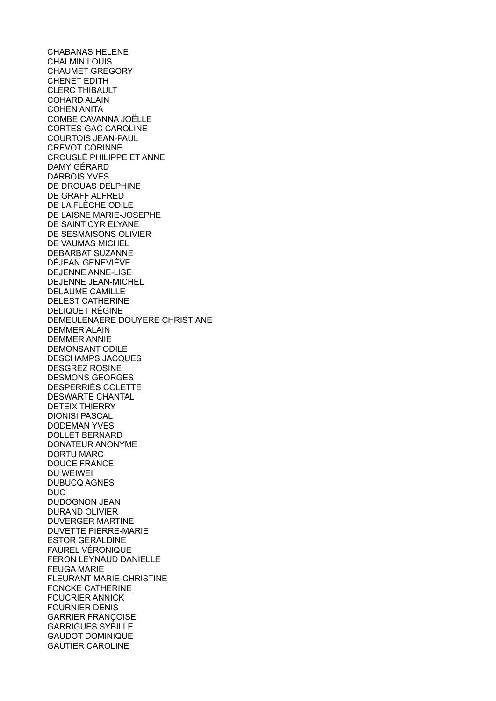CHABANAS HELENE CHALMIN LOUIS CHAUMET GREGORY CHENET EDITH CLERC THIBAULT COHARD ALAIN COHEN ANITA COMBE CAVANNA JOËLLE CORTES-GAC CAROLINE COURTOIS JEAN-PAUL CREVOT CORINNE CROUSLÉ PHILIPPE ET ANNE DAMY GÉRARD DARBOIS YVES DE DROUAS DELPHINE DE GRAFF ALFRED DE LA FLÈCHE ODILE DE LAISNE MARIE-JOSEPHE DE SAINT CYR ELYANE DE SESMAISONS OLIVIER DE VAUMAS MICHEL DEBARBAT SUZANNE DÉJEAN GENEVIÈVE DEJENNE ANNE-LISE DEJENNE JEAN-MICHEL DELAUME CAMILLE DELEST CATHERINE DELIQUET RÉGINE DEMEULENAERE DOUYERE CHRISTIANE DEMMER ALAIN DEMMER ANNIE DEMONSANT ODILE DESCHAMPS JACQUES DESGREZ ROSINE DESMONS GEORGES DESPERRIÈS COLETTE DESWARTE CHANTAL DETEIX THIERRY DIONISI PASCAL DODEMAN YVES DOLLET BERNARD DONATEUR ANONYME DORTU MARC DOUCE FRANCE DU WEIWEI DUBUCQ AGNES DUC DUDOGNON JEAN DURAND OLIVIER DUVERGER MARTINE DUVETTE PIERRE-MARIE ESTOR GÉRALDINE FAUREL VÉRONIQUE FERON LEYNAUD DANIELLE FEUGA MARIE FLEURANT MARIE-CHRISTINE FONCKE CATHERINE FOUCRIER ANNICK FOURNIER DENIS GARRIER FRANÇOISE GARRIGUES SYBILLE GAUDOT DOMINIQUE GAUTIER CAROLINE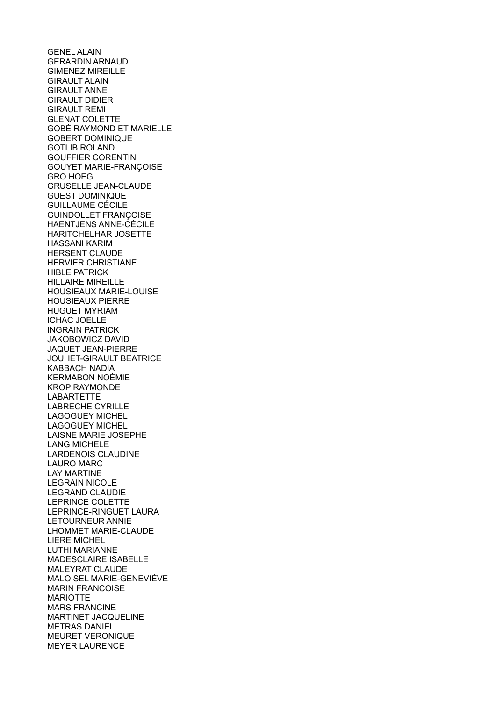**GENEL ALAIN** GERARDIN ARNAUD GIMENEZ MIREILLE GIRAULT ALAIN GIRAULT ANNE GIRAULT DIDIER GIRAULT REMI GLENAT COLETTE GOBÉ RAYMOND ET MARIELLE GOBERT DOMINIQUE GOTLIB ROLAND GOUFFIER CORENTIN GOUYET MARIE-FRANÇOISE GRO HOEG GRUSELLE JEAN-CLAUDE GUEST DOMINIQUE GUILLAUME CÉCILE GUINDOLLET FRANÇOISE HAENTJENS ANNE-CÉCILE HARITCHELHAR JOSETTE HASSANI KARIM HERSENT CLAUDE HERVIER CHRISTIANE HIBLE PATRICK HILLAIRE MIREILLE HOUSIEAUX MARIE-LOUISE HOUSIEAUX PIERRE HUGUET MYRIAM ICHAC JOELLE INGRAIN PATRICK JAKOBOWICZ DAVID JAQUET JEAN-PIERRE JOUHET-GIRAULT BEATRICE KABBACH NADIA KERMABON NOÉMIE KROP RAYMONDE **LABARTETTE** LABRECHE CYRILLE LAGOGUEY MICHEL LAGOGUEY MICHEL LAISNE MARIE JOSEPHE LANG MICHELE LARDENOIS CLAUDINE LAURO MARC LAY MARTINE LEGRAIN NICOLE LEGRAND CLAUDIE LEPRINCE COLETTE LEPRINCE-RINGUET LAURA LETOURNEUR ANNIE LHOMMET MARIE-CLAUDE LIERE MICHEL LUTHI MARIANNE MADESCLAIRE ISABELLE MALEYRAT CLAUDE MALOISEL MARIE-GENEVIÈVE MARIN FRANCOISE MARIOTTE MARS FRANCINE MARTINET JACQUELINE METRAS DANIEL MEURET VERONIQUE MEYER LAURENCE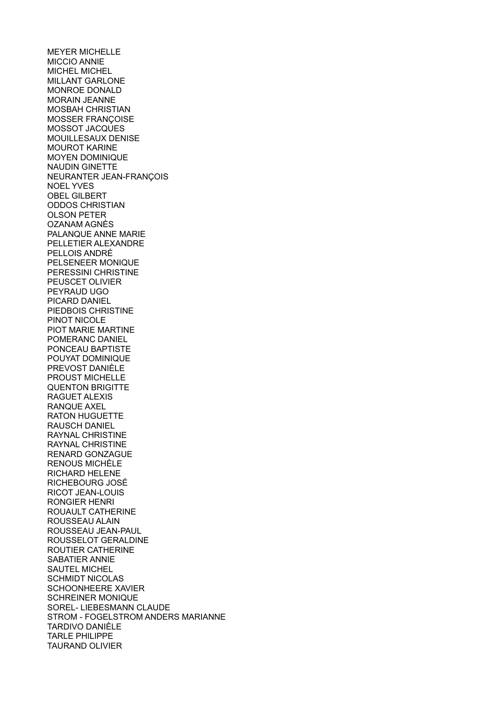MEYER MICHELLE MICCIO ANNIE MICHEL MICHEL MILLANT GARLONE MONROE DONALD MORAIN JEANNE MOSBAH CHRISTIAN MOSSER FRANÇOISE MOSSOT JACQUES MOUILLESAUX DENISE MOUROT KARINE MOYEN DOMINIQUE NAUDIN GINETTE NEURANTER JEAN-FRANÇOIS NOEL YVES OBEL GILBERT ODDOS CHRISTIAN OLSON PETER OZANAM AGNÈS PALANQUE ANNE MARIE PELLETIER ALEXANDRE PELLOIS ANDRÉ PELSENEER MONIQUE PERESSINI CHRISTINE PEUSCET OLIVIER PEYRAUD UGO PICARD DANIEL PIEDBOIS CHRISTINE PINOT NICOLE PIOT MARIE MARTINE POMERANC DANIEL PONCEAU BAPTISTE POUYAT DOMINIQUE PREVOST DANIÈLE PROUST MICHELLE QUENTON BRIGITTE RAGUET ALEXIS RANQUE AXEL RATON HUGUETTE RAUSCH DANIEL RAYNAL CHRISTINE RAYNAL CHRISTINE RENARD GONZAGUE RENOUS MICHÈLE RICHARD HELENE RICHEBOURG JOSÉ RICOT JEAN-LOUIS RONGIER HENRI ROUAULT CATHERINE ROUSSEAU ALAIN ROUSSEAU JEAN-PAUL ROUSSELOT GERALDINE ROUTIER CATHERINE SABATIER ANNIE SAUTEL MICHEL SCHMIDT NICOLAS SCHOONHEERE XAVIER SCHREINER MONIQUE SOREL- LIEBESMANN CLAUDE STROM - FOGELSTROM ANDERS MARIANNE TARDIVO DANIÈLE TARLE PHILIPPE TAURAND OLIVIER